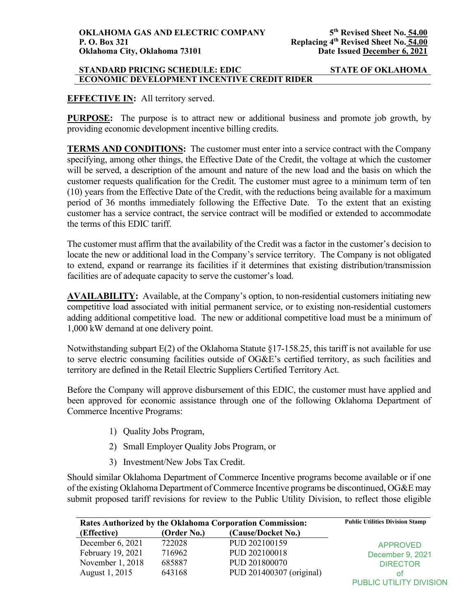### **STANDARD PRICING SCHEDULE: EDIC STATE OF OKLAHOMA ECONOMIC DEVELOPMENT INCENTIVE CREDIT RIDER**

# **EFFECTIVE IN:** All territory served.

**PURPOSE:** The purpose is to attract new or additional business and promote job growth, by providing economic development incentive billing credits.

**TERMS AND CONDITIONS:** The customer must enter into a service contract with the Company specifying, among other things, the Effective Date of the Credit, the voltage at which the customer will be served, a description of the amount and nature of the new load and the basis on which the customer requests qualification for the Credit. The customer must agree to a minimum term of ten (10) years from the Effective Date of the Credit, with the reductions being available for a maximum period of 36 months immediately following the Effective Date. To the extent that an existing customer has a service contract, the service contract will be modified or extended to accommodate the terms of this EDIC tariff.

The customer must affirm that the availability of the Credit was a factor in the customer's decision to locate the new or additional load in the Company's service territory. The Company is not obligated to extend, expand or rearrange its facilities if it determines that existing distribution/transmission facilities are of adequate capacity to serve the customer's load.

**AVAILABILITY:** Available, at the Company's option, to non-residential customers initiating new competitive load associated with initial permanent service, or to existing non-residential customers adding additional competitive load. The new or additional competitive load must be a minimum of 1,000 kW demand at one delivery point.

Notwithstanding subpart E(2) of the Oklahoma Statute §17-158.25, this tariff is not available for use to serve electric consuming facilities outside of OG&E's certified territory, as such facilities and territory are defined in the Retail Electric Suppliers Certified Territory Act.

Before the Company will approve disbursement of this EDIC, the customer must have applied and been approved for economic assistance through one of the following Oklahoma Department of Commerce Incentive Programs:

- 1) Quality Jobs Program,
- 2) Small Employer Quality Jobs Program, or
- 3) Investment/New Jobs Tax Credit.

Should similar Oklahoma Department of Commerce Incentive programs become available or if one of the existing Oklahoma Department of Commerce Incentive programs be discontinued, OG&E may submit proposed tariff revisions for review to the Public Utility Division, to reflect those eligible

| Rates Authorized by the Oklahoma Corporation Commission: | <b>Public Utilities Division Stamp</b> |                          |                         |
|----------------------------------------------------------|----------------------------------------|--------------------------|-------------------------|
| (Effective)                                              | (Order No.)                            | (Cause/Docket No.)       |                         |
| December $6, 2021$                                       | 722028                                 | PUD 202100159            | <b>APPROVED</b>         |
| February 19, 2021                                        | 716962                                 | PUD 202100018            | December 9, 2021        |
| November 1, 2018                                         | 685887                                 | PUD 201800070            | <b>DIRECTOR</b>         |
| August 1, 2015                                           | 643168                                 | PUD 201400307 (original) | οt                      |
|                                                          |                                        |                          | PUBLIC UTILITY DIVISION |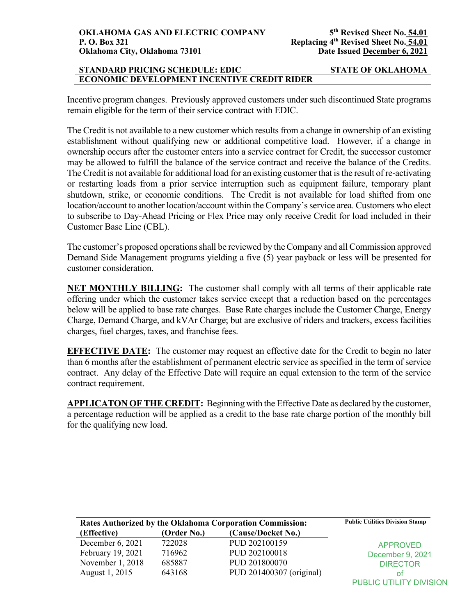# **STANDARD PRICING SCHEDULE: EDIC STATE OF OKLAHOMA ECONOMIC DEVELOPMENT INCENTIVE CREDIT RIDER**

Incentive program changes. Previously approved customers under such discontinued State programs remain eligible for the term of their service contract with EDIC.

The Credit is not available to a new customer which results from a change in ownership of an existing establishment without qualifying new or additional competitive load. However, if a change in ownership occurs after the customer enters into a service contract for Credit, the successor customer may be allowed to fulfill the balance of the service contract and receive the balance of the Credits. The Credit is not available for additional load for an existing customer that is the result of re-activating or restarting loads from a prior service interruption such as equipment failure, temporary plant shutdown, strike, or economic conditions. The Credit is not available for load shifted from one location/account to another location/account within the Company's service area. Customers who elect to subscribe to Day-Ahead Pricing or Flex Price may only receive Credit for load included in their Customer Base Line (CBL).

The customer's proposed operations shall be reviewed by the Company and all Commission approved Demand Side Management programs yielding a five (5) year payback or less will be presented for customer consideration.

**NET MONTHLY BILLING:** The customer shall comply with all terms of their applicable rate offering under which the customer takes service except that a reduction based on the percentages below will be applied to base rate charges. Base Rate charges include the Customer Charge, Energy Charge, Demand Charge, and kVAr Charge; but are exclusive of riders and trackers, excess facilities charges, fuel charges, taxes, and franchise fees.

**EFFECTIVE DATE:** The customer may request an effective date for the Credit to begin no later than 6 months after the establishment of permanent electric service as specified in the term of service contract. Any delay of the Effective Date will require an equal extension to the term of the service contract requirement.

**APPLICATON OF THE CREDIT:** Beginning with the Effective Date as declared by the customer, a percentage reduction will be applied as a credit to the base rate charge portion of the monthly bill for the qualifying new load.

| <b>Rates Authorized by the Oklahoma Corporation Commission:</b> | <b>Public Utilities Division Stamp</b> |                          |                                |
|-----------------------------------------------------------------|----------------------------------------|--------------------------|--------------------------------|
| (Effective)                                                     | (Order No.)                            | (Cause/Docket No.)       |                                |
| December $6, 2021$                                              | 722028                                 | PUD 202100159            | <b>APPROVED</b>                |
| February 19, 2021                                               | 716962                                 | PUD 202100018            | December 9, 2021               |
| November 1, 2018                                                | 685887                                 | PUD 201800070            | <b>DIRECTOR</b>                |
| August 1, 2015                                                  | 643168                                 | PUD 201400307 (original) | оt                             |
|                                                                 |                                        |                          | <b>PUBLIC UTILITY DIVISION</b> |